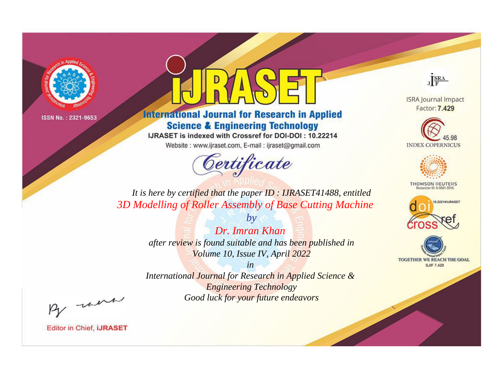

### **International Journal for Research in Applied Science & Engineering Technology**

IJRASET is indexed with Crossref for DOI-DOI: 10.22214

Website: www.ijraset.com, E-mail: ijraset@gmail.com



JERA

**ISRA Journal Impact** Factor: 7.429





**THOMSON REUTERS** 



TOGETHER WE REACH THE GOAL **SJIF 7.429** 

*It is here by certified that the paper ID : IJRASET41488, entitled 3D Modelling of Roller Assembly of Base Cutting Machine*

> *Dr. Imran Khan after review is found suitable and has been published in Volume 10, Issue IV, April 2022*

*by*

*in* 

*International Journal for Research in Applied Science & Engineering Technology Good luck for your future endeavors*

By morn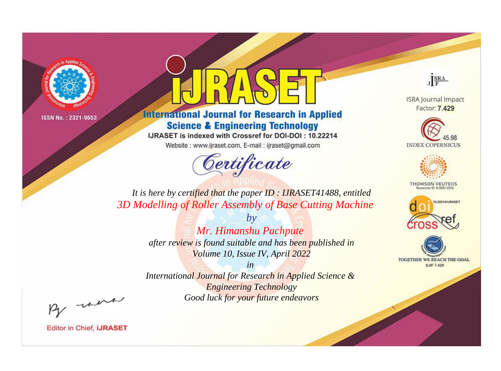

### **International Journal for Research in Applied Science & Engineering Technology**

IJRASET is indexed with Crossref for DOI-DOI: 10.22214

Website: www.ijraset.com, E-mail: ijraset@gmail.com

## Certificate



**ISRA Journal Impact** Factor: 7.429





**THOMSON REUTERS** 



TOGETHER WE REACH THE GOAL **SJIF 7.429** 

It is here by certified that the paper ID: IJRASET41488, entitled 3D Modelling of Roller Assembly of Base Cutting Machine

> $b\nu$ Mr. Himanshu Pachpute after review is found suitable and has been published in Volume 10, Issue IV, April 2022

 $in$ International Journal for Research in Applied Science & **Engineering Technology** Good luck for your future endeavors

By morn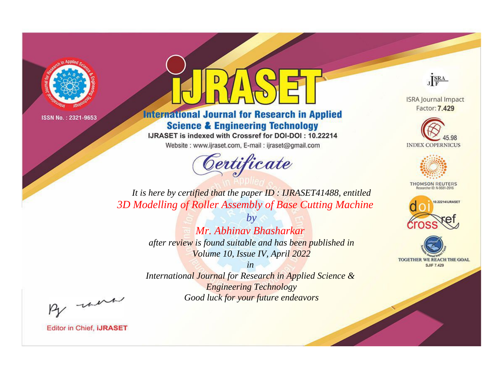

### **International Journal for Research in Applied Science & Engineering Technology**

IJRASET is indexed with Crossref for DOI-DOI: 10.22214

Website: www.ijraset.com, E-mail: ijraset@gmail.com



JERA

**ISRA Journal Impact** Factor: 7.429





**THOMSON REUTERS** 



TOGETHER WE REACH THE GOAL **SJIF 7.429** 

*It is here by certified that the paper ID : IJRASET41488, entitled 3D Modelling of Roller Assembly of Base Cutting Machine*

> *by Mr. Abhinav Bhasharkar after review is found suitable and has been published in Volume 10, Issue IV, April 2022*

> > *in*

*International Journal for Research in Applied Science & Engineering Technology Good luck for your future endeavors*

By morn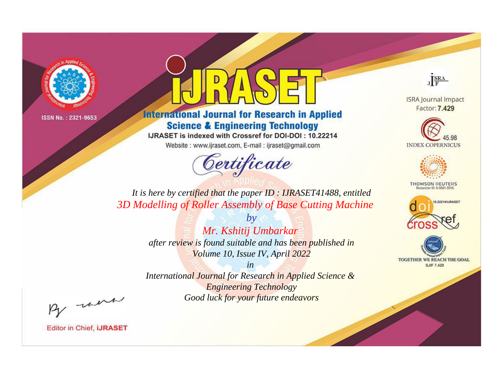

### **International Journal for Research in Applied Science & Engineering Technology**

IJRASET is indexed with Crossref for DOI-DOI: 10.22214

Website: www.ijraset.com, E-mail: ijraset@gmail.com



JERA

**ISRA Journal Impact** Factor: 7.429





**THOMSON REUTERS** 



TOGETHER WE REACH THE GOAL **SJIF 7.429** 

*It is here by certified that the paper ID : IJRASET41488, entitled 3D Modelling of Roller Assembly of Base Cutting Machine*

> *by Mr. Kshitij Umbarkar after review is found suitable and has been published in Volume 10, Issue IV, April 2022*

> > *in*

*International Journal for Research in Applied Science & Engineering Technology Good luck for your future endeavors*

By morn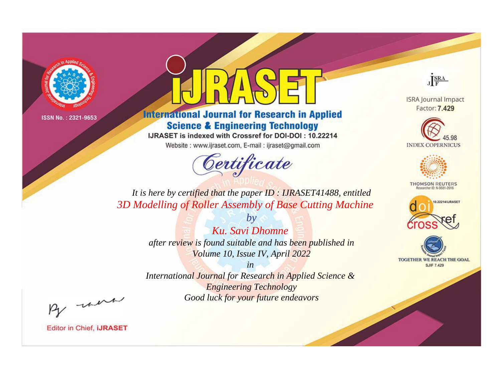

### **International Journal for Research in Applied Science & Engineering Technology**

IJRASET is indexed with Crossref for DOI-DOI: 10.22214

Website: www.ijraset.com, E-mail: ijraset@gmail.com



JERA

**ISRA Journal Impact** Factor: 7.429





**THOMSON REUTERS** 



TOGETHER WE REACH THE GOAL **SJIF 7.429** 

*It is here by certified that the paper ID : IJRASET41488, entitled 3D Modelling of Roller Assembly of Base Cutting Machine*

> *Ku. Savi Dhomne after review is found suitable and has been published in Volume 10, Issue IV, April 2022*

*by*

*in* 

*International Journal for Research in Applied Science & Engineering Technology Good luck for your future endeavors*

By morn